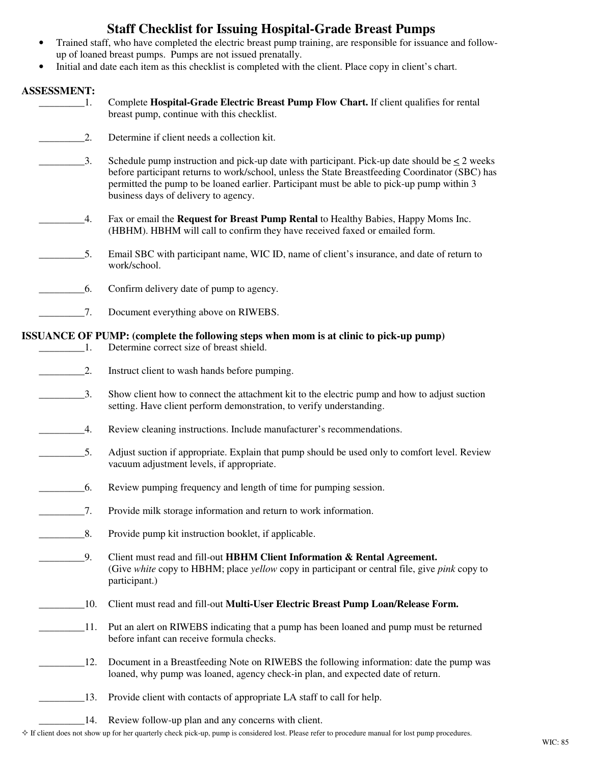## **Staff Checklist for Issuing Hospital-Grade Breast Pumps**

- Trained staff, who have completed the electric breast pump training, are responsible for issuance and followup of loaned breast pumps. Pumps are not issued prenatally.
- Initial and date each item as this checklist is completed with the client. Place copy in client's chart.

## **ASSESSMENT:**

| АООЕООВШЕГІ І І             |                                                                                                                                                                                                                                                                                                                                             |
|-----------------------------|---------------------------------------------------------------------------------------------------------------------------------------------------------------------------------------------------------------------------------------------------------------------------------------------------------------------------------------------|
| -1.                         | Complete Hospital-Grade Electric Breast Pump Flow Chart. If client qualifies for rental<br>breast pump, continue with this checklist.                                                                                                                                                                                                       |
| 2.                          | Determine if client needs a collection kit.                                                                                                                                                                                                                                                                                                 |
| 3.                          | Schedule pump instruction and pick-up date with participant. Pick-up date should be $\leq 2$ weeks<br>before participant returns to work/school, unless the State Breastfeeding Coordinator (SBC) has<br>permitted the pump to be loaned earlier. Participant must be able to pick-up pump within 3<br>business days of delivery to agency. |
| 4.                          | Fax or email the Request for Breast Pump Rental to Healthy Babies, Happy Moms Inc.<br>(HBHM). HBHM will call to confirm they have received faxed or emailed form.                                                                                                                                                                           |
| 5.                          | Email SBC with participant name, WIC ID, name of client's insurance, and date of return to<br>work/school.                                                                                                                                                                                                                                  |
| 6.                          | Confirm delivery date of pump to agency.                                                                                                                                                                                                                                                                                                    |
| $\overline{7}$ .            | Document everything above on RIWEBS.                                                                                                                                                                                                                                                                                                        |
|                             | ISSUANCE OF PUMP: (complete the following steps when mom is at clinic to pick-up pump)                                                                                                                                                                                                                                                      |
| $\sim$ $-1$ .               | Determine correct size of breast shield.                                                                                                                                                                                                                                                                                                    |
| $\overline{\phantom{a}}$ 2. | Instruct client to wash hands before pumping.                                                                                                                                                                                                                                                                                               |
| $\overline{3}$ .            | Show client how to connect the attachment kit to the electric pump and how to adjust suction<br>setting. Have client perform demonstration, to verify understanding.                                                                                                                                                                        |
| 4.                          | Review cleaning instructions. Include manufacturer's recommendations.                                                                                                                                                                                                                                                                       |
| $\overline{\phantom{1}}$ 5. | Adjust suction if appropriate. Explain that pump should be used only to comfort level. Review<br>vacuum adjustment levels, if appropriate.                                                                                                                                                                                                  |
| 6.                          | Review pumping frequency and length of time for pumping session.                                                                                                                                                                                                                                                                            |
| $\overline{7}.$             | Provide milk storage information and return to work information.                                                                                                                                                                                                                                                                            |
| 8.                          | Provide pump kit instruction booklet, if applicable.                                                                                                                                                                                                                                                                                        |
| 9.                          | Client must read and fill-out HBHM Client Information & Rental Agreement.<br>(Give white copy to HBHM; place yellow copy in participant or central file, give pink copy to<br>participant.)                                                                                                                                                 |
| 10.                         | Client must read and fill-out Multi-User Electric Breast Pump Loan/Release Form.                                                                                                                                                                                                                                                            |
| 11.                         | Put an alert on RIWEBS indicating that a pump has been loaned and pump must be returned<br>before infant can receive formula checks.                                                                                                                                                                                                        |

- 12. Document in a Breastfeeding Note on RIWEBS the following information: date the pump was loaned, why pump was loaned, agency check-in plan, and expected date of return.
	- 13. Provide client with contacts of appropriate LA staff to call for help.
	- 14. Review follow-up plan and any concerns with client.
- $\Diamond$  If client does not show up for her quarterly check pick-up, pump is considered lost. Please refer to procedure manual for lost pump procedures.